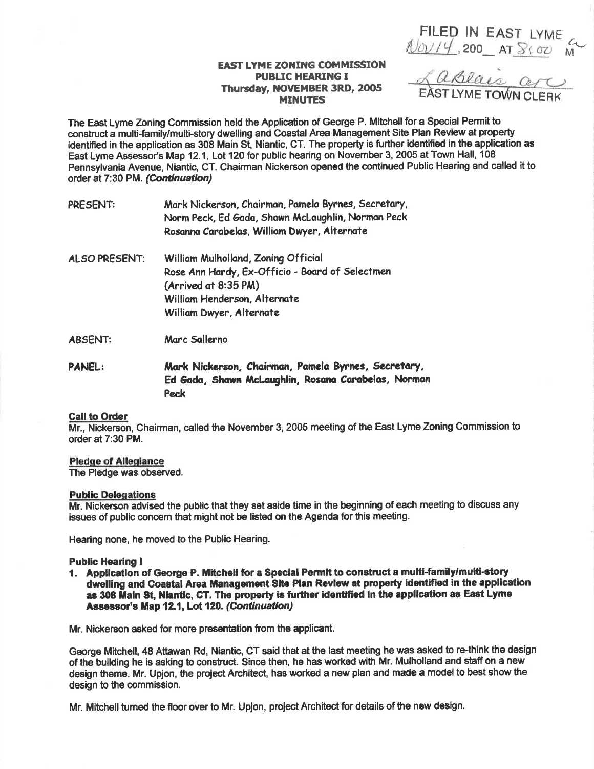FILED IN EAST LYME

# **EAST LYME ZONING COMMISSION PUBLIC HEARING I** Thursday, NOVEMBER 3RD, 2005 **MINUTES**

Laslais are

The East Lyme Zoning Commission held the Application of George P. Mitchell for a Special Permit to construct a multi-family/multi-story dwelling and Coastal Area Management Site Plan Review at property identified in the application as 308 Main St. Niantic. CT. The property is further identified in the application as East Lyme Assessor's Map 12.1, Lot 120 for public hearing on November 3, 2005 at Town Hall, 108 Pennsylvania Avenue, Niantic, CT. Chairman Nickerson opened the continued Public Hearing and called it to order at 7:30 PM. (Continuation)

| PRESENT:             | Mark Nickerson, Chairman, Pamela Byrnes, Secretary,<br>Norm Peck, Ed Gada, Shawn McLaughlin, Norman Peck<br>Rosanna Carabelas, William Dwyer, Alternate                    |
|----------------------|----------------------------------------------------------------------------------------------------------------------------------------------------------------------------|
| <b>ALSO PRESENT:</b> | William Mulholland, Zoning Official<br>Rose Ann Hardy, Ex-Officio - Board of Selectmen<br>(Arrived at 8:35 PM)<br>William Henderson, Alternate<br>William Dwyer, Alternate |
| <b>ABSENT:</b>       | Marc Sallerno                                                                                                                                                              |

Mark Nickerson, Chairman, Pamela Byrnes, Secretary, **PANEL:** Ed Gada. Shawn McLaughlin, Rosana Carabelas, Norman Peck

# **Call to Order**

Mr., Nickerson, Chairman, called the November 3, 2005 meeting of the East Lyme Zoning Commission to order at 7:30 PM.

### **Pledge of Allegiance**

The Pledge was observed.

#### **Public Delegations**

Mr. Nickerson advised the public that they set aside time in the beginning of each meeting to discuss any issues of public concern that might not be listed on the Agenda for this meeting.

Hearing none, he moved to the Public Hearing.

### **Public Hearing I**

1. Application of George P. Mitchell for a Special Permit to construct a multi-family/multi-story dwelling and Coastal Area Management Site Plan Review at property identified in the application as 308 Main St. Niantic. CT. The property is further identified in the application as East Lyme Assessor's Map 12.1, Lot 120. (Continuation)

Mr. Nickerson asked for more presentation from the applicant.

George Mitchell, 48 Attawan Rd, Niantic, CT said that at the last meeting he was asked to re-think the design of the building he is asking to construct. Since then, he has worked with Mr. Mulholland and staff on a new design theme. Mr. Upjon, the project Architect, has worked a new plan and made a model to best show the design to the commission.

Mr. Mitchell turned the floor over to Mr. Upjon, project Architect for details of the new design.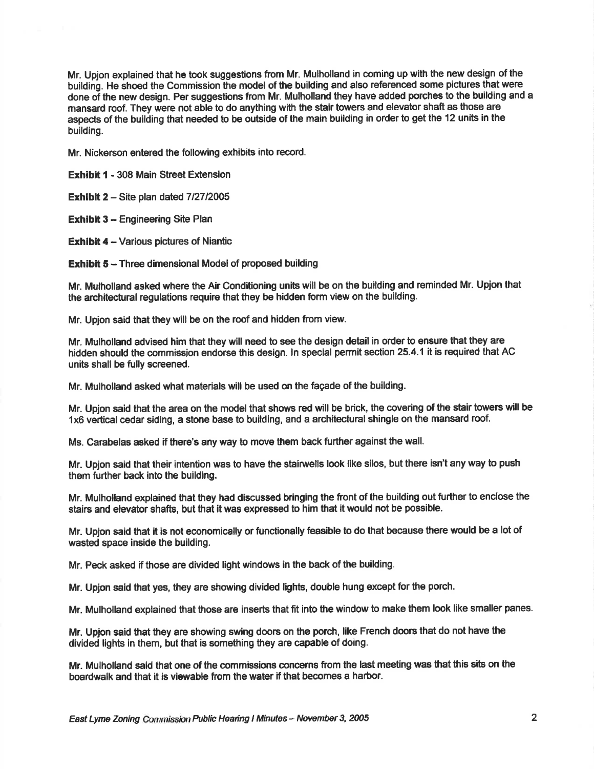Mr. Upjon explained that he took suggestions from Mr. Mulholland in coming up with the new design of the building. He shoed the Commission the model of the building and also referenced some pictures that were done of the new design. Per suggestions from Mr. Mulholland they have added porches to the building and a mansard roof. They were not able to do anything with the stair towers and elevator shaft as those are aspects of the building that needed to be outside of the main building in order to get the 12 units in the building.

Mr. Nickerson entered the following exhibits into record.

**Exhibit 1 - 308 Main Street Extension** 

Exhibit  $2 -$  Site plan dated  $7/27/2005$ 

**Exhibit 3 - Engineering Site Plan** 

**Exhibit 4 - Various pictures of Niantic** 

**Exhibit 5 - Three dimensional Model of proposed building** 

Mr. Mulholland asked where the Air Conditioning units will be on the building and reminded Mr. Upjon that the architectural regulations require that they be hldden form view on the building.

Mr. Upjon said that they will be on the roof and hidden from view.

Mr. Mulholland advised him that they will need to see the design detail in order to ensure that they are hidden should the commission endorse this design. In special permit section 25.4.1 it is required that AC units shall be fully screened.

Mr. Mulholland asked what materials will be used on the fagade of the building.

Mr. Upjon said that the area on the model that shows red will be brick, the covering of the stair towers will be 1x6 vertical cedar siding, a stone base to building, and a architectural shingle on the mansard roof.

Ms. Garabelas asked if there's any way to move them back further against the wall.

Mr. Upjon said that their intention was to have the stairwells look like silos, but there isn't any way to push them further back into the building.

Mr. Mulholland explained that they had discussed bringing the front of the building out further to enclose the stairs and elevator shafts, but that it was expressed to him that it would not be possible.

Mr. Upjon said that it is not economically or functionally feasible to do that because there would be a lot of wasted space inside the building.

Mr. Peck asked if those are divided light windows in the back of the building.

Mr. Upjon said that yes, they are showing divided lights, double hung except for the porch.

Mr. Mulholland explained that those are inserts that fit into the window to make them look like smaller panes.

Mr. Upjon said that they are showing swing doors on the porch, like French doors that do not have the divided lights in them, but that is something they are capable of doing.

Mr. Mulholland said that one of the commissions concerns from the last meeting was that this sits on the boardwalk and that it is viewable from the water if that becomes a harbor.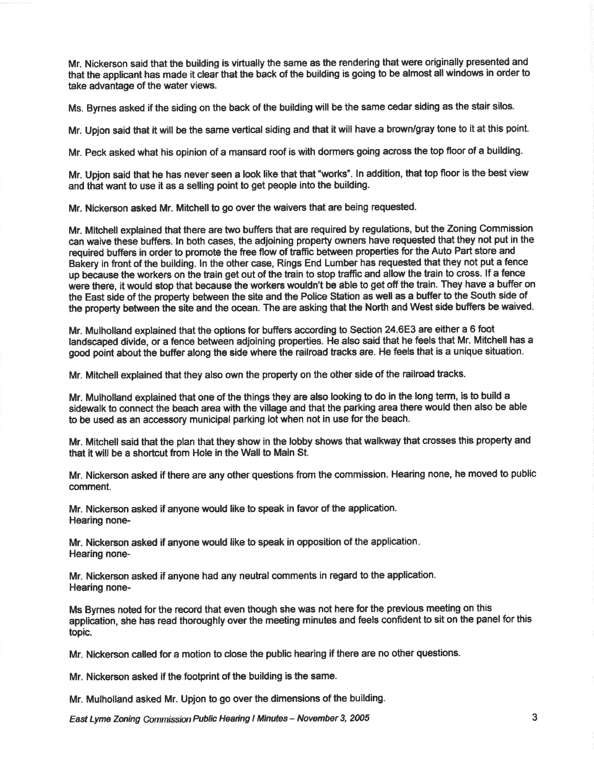Mr. Nickerson said that the building is virtually the same as the rendering that were originally presented and that the applicant has made it clear that the back of the building is going to be almost all windows in order to take advantage of the water views.

Ms. Byrnes asked if the siding on the back of the building will be the same cedar siding as the stair silos.

Mr. Upjon said that it will be the same vertical siding and that it will have a brown/gray tone to it at this point.

Mr. Peck asked what his opinion of a mansard roof is with dormers going across the top floor of a building.

Mr. Upjon said that he has never seen a look like that that "works". In addition, that top floor is the best view and that want to use it as a selling point to get people into the building.

Mr. Nickerson asked Mr. Mitchell to go over the waivers that are being requested.

Mr. Mitchell explained that there are two buffers that are required by regulations, but the Zoning Commission can waive these buffers. ln both cases, the adjoining property owners have requested that they not put in the required buffers in order to promote the fiee flow of traffic between properties br the Auto Part store and Bakery in front of the building. In the other case, Rings End Lumber has requested that they not put a fence up because the workers on the train get out of the train to stop traffic and allow the train to cross. If a fence were there, it would stop that because the workers wouldn't be able to get off the train. They have a buffer on the East side of the property between the site and the Police Station as well as a buffer to the South side of the property between the site and the ocean. The are asking that the North and West side buffers be waived.

Mr. Mulholland explained that the options for buffers according to Section 24.6E3 are either a 6 foot landscaped divide, or a fence between adjoining properties. He also said that he feels that Mr. Mitchell has a good point about the buffer along the side where the railroad tracks are. He feels that is a unique situation.

Mr. Mitchell explained that they also own the property on the other side of the railroad tracks.

Mr. Mulholland explained that one of the things they are also looking to do in the long term, is to build a sidewalk to connect the beach area with the village and that the parking area there would then also be able to be used as an accessory municipal parking lot when not in use for the beach.

Mr. Mitchell said that the plan that they show in the lobby shows that walkway that crosses this property and that it will be a shortcut from Hole in the Wall to Main St.

Mr. Nickerson asked if there are any other questions from the commission. Hearing none, he moved to public comment.

Mr. Nickerson asked if anyone would like to speak in favor of the application. Hearing none-

Mr. Nickerson asked if anyone would like to speak in opposition of the application Hearing none-

Mr. Nickerson asked if anyone had any neutral comments in regard to the application. Hearing none-

Ms Bymes noted for the record that even though she was not here for the previous meeting on this application, she has read thoroughly over the meeting minutes and feels confident to sit on the panel for this topic.

Mr. Nickerson called for a motion to close the public hearing if there are no other questions-

Mr. Nickerson asked if the footprint of the building is the same.

Mr. Mulholland asked Mr. Upjon to go over the dimensions of the building.

East Lyme Zoning Commission Public Hearing I Minutes - November 3, 2005